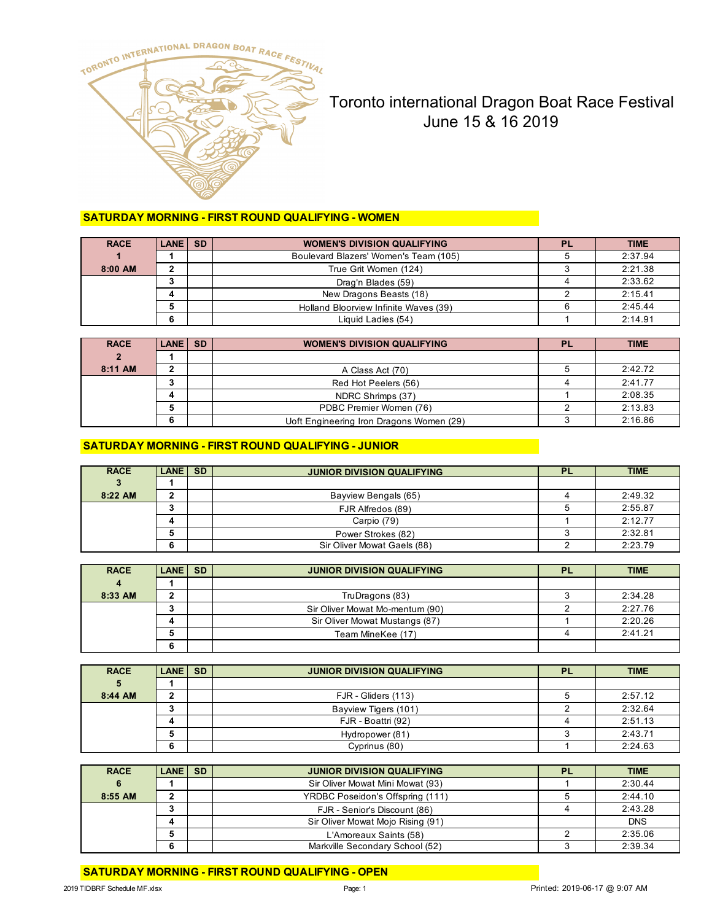

# Toronto international Dragon Boat Race Festival June 15 & 16 2019

## **SATURDAY MORNING - FIRST ROUND QUALIFYING - WOMEN**

| <b>RACE</b> | LANE SD | <b>WOMEN'S DIVISION QUALIFYING</b>    | <b>PL</b> | <b>TIME</b> |
|-------------|---------|---------------------------------------|-----------|-------------|
|             |         | Boulevard Blazers' Women's Team (105) |           | 2:37.94     |
| 8:00 AM     |         | True Grit Women (124)                 |           | 2:21.38     |
|             |         | Drag'n Blades (59)                    |           | 2:33.62     |
|             |         | New Dragons Beasts (18)               |           | 2:15.41     |
|             |         | Holland Bloorview Infinite Waves (39) |           | 2:45.44     |
|             |         | Liquid Ladies (54)                    |           | 2:14.91     |

| <b>RACE</b>    | <b>LANE SD</b> | <b>WOMEN'S DIVISION QUALIFYING</b>       | PL | <b>TIME</b> |
|----------------|----------------|------------------------------------------|----|-------------|
| $\overline{2}$ |                |                                          |    |             |
| 8:11 AM        |                | A Class Act (70)                         |    | 2:42.72     |
|                |                | Red Hot Peelers (56)                     |    | 2:41.77     |
|                |                | NDRC Shrimps (37)                        |    | 2:08.35     |
|                |                | PDBC Premier Women (76)                  |    | 2:13.83     |
|                |                | Uoft Engineering Iron Dragons Women (29) |    | 2:16.86     |

#### **SATURDAY MORNING - FIRST ROUND QUALIFYING - JUNIOR**

| <b>RACE</b> | LANE SD | <b>JUNIOR DIVISION QUALIFYING</b> | PL | <b>TIME</b> |
|-------------|---------|-----------------------------------|----|-------------|
| 3           |         |                                   |    |             |
| 8:22 AM     |         | Bayview Bengals (65)              |    | 2:49.32     |
|             |         | FJR Alfredos (89)                 |    | 2:55.87     |
|             |         | Carpio (79)                       |    | 2:12.77     |
|             |         | Power Strokes (82)                |    | 2:32.81     |
|             |         | Sir Oliver Mowat Gaels (88)       |    | 2:23.79     |

| <b>RACE</b>    | <b>LANE ISD</b> | <b>JUNIOR DIVISION QUALIFYING</b> | ΡL | <b>TIME</b> |
|----------------|-----------------|-----------------------------------|----|-------------|
| $\overline{4}$ |                 |                                   |    |             |
| 8:33 AM        |                 | TruDragons (83)                   |    | 2:34.28     |
|                |                 | Sir Oliver Mowat Mo-mentum (90)   |    | 2:27.76     |
|                |                 | Sir Oliver Mowat Mustangs (87)    |    | 2:20.26     |
|                |                 | Team MineKee (17)                 |    | 2:41.21     |
|                | o               |                                   |    |             |

| <b>RACE</b> | LANE SD | <b>JUNIOR DIVISION QUALIFYING</b> | <b>PL</b> | <b>TIME</b> |
|-------------|---------|-----------------------------------|-----------|-------------|
| 5           |         |                                   |           |             |
| 8:44 AM     | າ<br>▴  | FJR - Gliders (113)               |           | 2:57.12     |
|             |         | Bayview Tigers (101)              |           | 2:32.64     |
|             |         | FJR - Boattri (92)                |           | 2:51.13     |
|             | G       | Hydropower (81)                   |           | 2:43.71     |
|             | 6       | Cyprinus (80)                     |           | 2:24.63     |

| <b>RACE</b> | LANE SD | <b>JUNIOR DIVISION QUALIFYING</b> | <b>PL</b> | <b>TIME</b> |
|-------------|---------|-----------------------------------|-----------|-------------|
| 6           |         | Sir Oliver Mowat Mini Mowat (93)  |           | 2:30.44     |
| 8:55 AM     |         | YRDBC Poseidon's Offspring (111)  |           | 2:44.10     |
|             |         | FJR - Senior's Discount (86)      |           | 2:43.28     |
|             |         | Sir Oliver Mowat Mojo Rising (91) |           | <b>DNS</b>  |
|             |         | L'Amoreaux Saints (58)            |           | 2:35.06     |
|             |         | Markville Secondary School (52)   |           | 2:39.34     |

**SATURDAY MORNING - FIRST ROUND QUALIFYING - OPEN**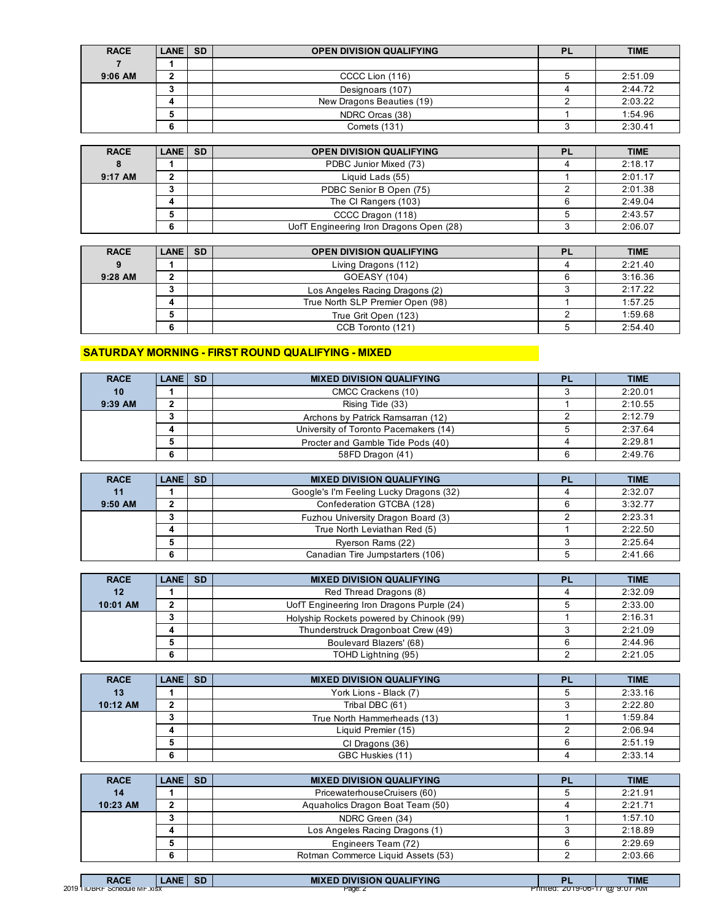| <b>RACE</b> | <b>LANE SD</b> | <b>OPEN DIVISION QUALIFYING</b> | Ρl | <b>TIME</b> |
|-------------|----------------|---------------------------------|----|-------------|
|             |                |                                 |    |             |
| $9:06$ AM   |                | CCCC Lion (116)                 |    | 2:51.09     |
|             |                | Designoars (107)                |    | 2:44.72     |
|             |                | New Dragons Beauties (19)       |    | 2:03.22     |
|             |                | NDRC Orcas (38)                 |    | 1:54.96     |
|             |                | Comets (131)                    |    | 2:30.41     |

| <b>RACE</b> | <b>LANE SD</b> | <b>OPEN DIVISION QUALIFYING</b>         | PL | <b>TIME</b> |
|-------------|----------------|-----------------------------------------|----|-------------|
|             |                | PDBC Junior Mixed (73)                  |    | 2:18.17     |
| $9:17$ AM   |                | Liguid Lads (55)                        |    | 2:01.17     |
|             |                | PDBC Senior B Open (75)                 |    | 2:01.38     |
|             |                | The CI Rangers (103)                    |    | 2:49.04     |
|             |                | CCCC Dragon (118)                       |    | 2:43.57     |
|             | 6              | UofT Engineering Iron Dragons Open (28) |    | 2:06.07     |

| <b>RACE</b> | LANE SD | <b>OPEN DIVISION QUALIFYING</b>  | <b>PL</b> | <b>TIME</b> |
|-------------|---------|----------------------------------|-----------|-------------|
| 9           |         | Living Dragons (112)             |           | 2:21.40     |
| $9:28$ AM   |         | GOEASY (104)                     |           | 3:16.36     |
|             |         | Los Angeles Racing Dragons (2)   |           | 2:17.22     |
|             |         | True North SLP Premier Open (98) |           | 1:57.25     |
|             |         | True Grit Open (123)             |           | 1:59.68     |
|             | 6       | CCB Toronto (121)                |           | 2:54.40     |

## **SATURDAY MORNING - FIRST ROUND QUALIFYING - MIXED**

| <b>RACE</b> | <b>LANE GSD</b> | <b>MIXED DIVISION QUALIFYING</b>      | <b>PL</b> | <b>TIME</b> |
|-------------|-----------------|---------------------------------------|-----------|-------------|
| 10          |                 | CMCC Crackens (10)                    |           | 2:20.01     |
| $9:39$ AM   |                 | Rising Tide (33)                      |           | 2:10.55     |
|             |                 | Archons by Patrick Ramsarran (12)     |           | 2:12.79     |
|             |                 | University of Toronto Pacemakers (14) |           | 2:37.64     |
|             |                 | Procter and Gamble Tide Pods (40)     |           | 2:29.81     |
|             |                 | 58FD Dragon (41)                      | 6         | 2:49.76     |

| <b>RACE</b> | LANE SD | <b>MIXED DIVISION QUALIFYING</b>        | <b>PL</b> | <b>TIME</b> |
|-------------|---------|-----------------------------------------|-----------|-------------|
| 11          |         | Google's I'm Feeling Lucky Dragons (32) |           | 2:32.07     |
| $9:50$ AM   |         | Confederation GTCBA (128)               |           | 3:32.77     |
|             |         | Fuzhou University Dragon Board (3)      |           | 2:23.31     |
|             |         | True North Leviathan Red (5)            |           | 2:22.50     |
|             |         | Ryerson Rams (22)                       |           | 2:25.64     |
|             |         | Canadian Tire Jumpstarters (106)        |           | 2:41.66     |

| <b>RACE</b> | LANE SD | <b>MIXED DIVISION QUALIFYING</b>          | PL | <b>TIME</b> |
|-------------|---------|-------------------------------------------|----|-------------|
| 12          |         | Red Thread Dragons (8)                    |    | 2:32.09     |
| 10:01 AM    |         | UofT Engineering Iron Dragons Purple (24) |    | 2:33.00     |
|             |         | Holyship Rockets powered by Chinook (99)  |    | 2:16.31     |
|             |         | Thunderstruck Dragonboat Crew (49)        |    | 2:21.09     |
|             |         | Boulevard Blazers' (68)                   |    | 2:44.96     |
|             |         | TOHD Lightning (95)                       |    | 2:21.05     |

| <b>RACE</b> | LANE SD | <b>MIXED DIVISION QUALIFYING</b> | <b>PL</b> | <b>TIME</b> |
|-------------|---------|----------------------------------|-----------|-------------|
| 13          |         | York Lions - Black (7)           |           | 2:33.16     |
| 10:12 AM    |         | Tribal DBC (61)                  |           | 2:22.80     |
|             | w       | True North Hammerheads (13)      |           | 1:59.84     |
|             |         | Liquid Premier (15)              |           | 2:06.94     |
|             |         | CI Dragons (36)                  |           | 2:51.19     |
|             | o       | GBC Huskies (11)                 |           | 2:33.14     |

| <b>RACE</b> | LANE SD | <b>MIXED DIVISION QUALIFYING</b>   | <b>PL</b> | <b>TIME</b> |
|-------------|---------|------------------------------------|-----------|-------------|
| 14          |         | PricewaterhouseCruisers (60)       |           | 2:21.91     |
| 10:23 AM    |         | Aquaholics Dragon Boat Team (50)   |           | 2:21.71     |
|             |         | NDRC Green (34)                    |           | 1:57.10     |
|             |         | Los Angeles Racing Dragons (1)     |           | 2:18.89     |
|             |         | Engineers Team (72)                |           | 2:29.69     |
|             | 6       | Rotman Commerce Liquid Assets (53) |           | 2:03.66     |

|       | <b>RACE</b>                         | <b>ANF</b> | $\sim$<br>้อม | <b>DIVISION QUALIFYING</b><br><b>MIXE</b> |          | <b>TIME</b>                                     |
|-------|-------------------------------------|------------|---------------|-------------------------------------------|----------|-------------------------------------------------|
| 2019' | SCREQUIE IVIT .XISX<br><b>IUBKF</b> |            |               | Paan<br>-aye.∠                            | Printea. | $^{\circ}$ AIV).<br><u>2019-00-17 (02.9.07 </u> |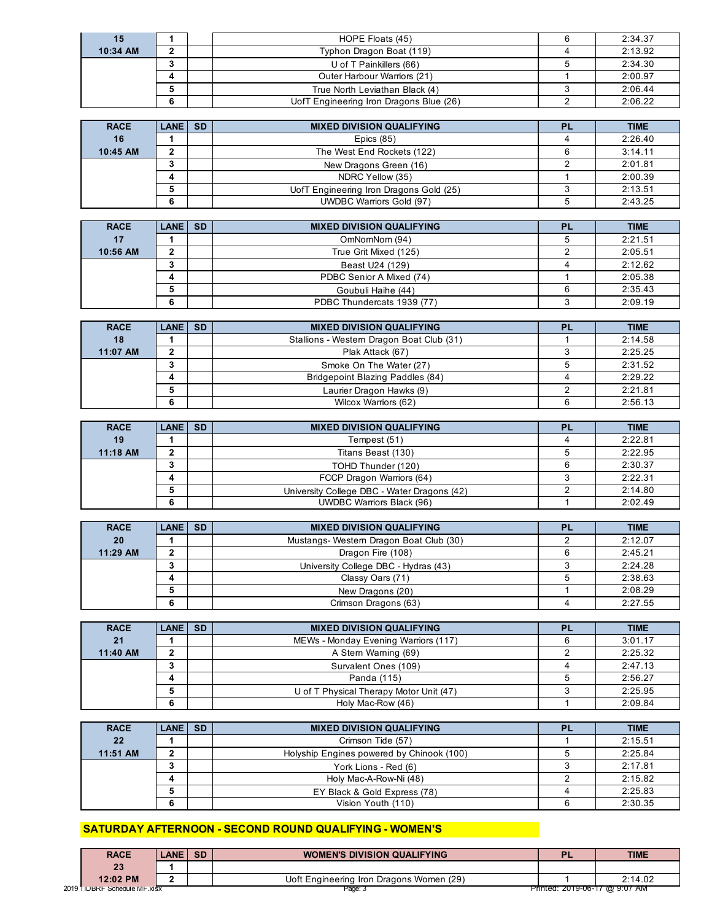| 15       |  | HOPE Floats (45)                        | 2:34.37 |
|----------|--|-----------------------------------------|---------|
| 10:34 AM |  | Typhon Dragon Boat (119)                | 2:13.92 |
|          |  | U of T Painkillers (66)                 | 2:34.30 |
|          |  | Outer Harbour Warriors (21)             | 2:00.97 |
|          |  | True North Leviathan Black (4)          | 2:06.44 |
|          |  | UofT Engineering Iron Dragons Blue (26) | 2:06.22 |

| <b>RACE</b> | <b>LANE SD</b> | <b>MIXED DIVISION QUALIFYING</b>        | PL | <b>TIME</b> |
|-------------|----------------|-----------------------------------------|----|-------------|
| 16          |                | Epics $(85)$                            |    | 2:26.40     |
| 10:45 AM    | ּ              | The West End Rockets (122)              |    | 3:14.11     |
|             | ٠J             | New Dragons Green (16)                  |    | 2:01.81     |
|             |                | NDRC Yellow (35)                        |    | 2:00.39     |
|             |                | UofT Engineering Iron Dragons Gold (25) |    | 2:13.51     |
|             | 6              | <b>UWDBC Warriors Gold (97)</b>         |    | 2:43.25     |

| <b>RACE</b> | <b>LANE ISD</b> | <b>MIXED DIVISION QUALIFYING</b> | <b>PL</b> | <b>TIME</b> |
|-------------|-----------------|----------------------------------|-----------|-------------|
| 17          |                 | OmNomNom (94)                    |           | 2:21.51     |
| 10:56 AM    |                 | True Grit Mixed (125)            |           | 2:05.51     |
|             |                 | Beast U24 (129)                  |           | 2:12.62     |
|             |                 | PDBC Senior A Mixed (74)         |           | 2:05.38     |
|             | 5               | Goubuli Haihe (44)               |           | 2:35.43     |
|             | 6               | PDBC Thundercats 1939 (77)       |           | 2:09.19     |

| <b>RACE</b> | <b>LANE ISD</b> | <b>MIXED DIVISION QUALIFYING</b>          | <b>PL</b> | <b>TIME</b> |
|-------------|-----------------|-------------------------------------------|-----------|-------------|
| 18          |                 | Stallions - Western Dragon Boat Club (31) |           | 2:14.58     |
| 11:07 AM    |                 | Plak Attack (67)                          |           | 2:25.25     |
|             |                 | Smoke On The Water (27)                   |           | 2:31.52     |
|             |                 | Bridgepoint Blazing Paddles (84)          |           | 2:29.22     |
|             |                 | Laurier Dragon Hawks (9)                  |           | 2:21.81     |
|             |                 | Wilcox Warriors (62)                      |           | 2:56.13     |

| <b>RACE</b> | <b>LANE ISD</b> | <b>MIXED DIVISION QUALIFYING</b>            | <b>PL</b> | <b>TIME</b> |
|-------------|-----------------|---------------------------------------------|-----------|-------------|
| 19          |                 | Tempest (51)                                |           | 2:22.81     |
| 11:18 AM    |                 | Titans Beast (130)                          |           | 2:22.95     |
|             | J.              | TOHD Thunder (120)                          |           | 2:30.37     |
|             |                 | FCCP Dragon Warriors (64)                   |           | 2:22.31     |
|             |                 | University College DBC - Water Dragons (42) |           | 2:14.80     |
|             | 6               | <b>UWDBC Warriors Black (96)</b>            |           | 2:02.49     |

| <b>RACE</b> | LANE SD | <b>MIXED DIVISION QUALIFYING</b>       | PL | <b>TIME</b> |
|-------------|---------|----------------------------------------|----|-------------|
| 20          |         | Mustangs-Western Dragon Boat Club (30) |    | 2:12.07     |
| 11:29 AM    |         | Dragon Fire (108)                      |    | 2:45.21     |
|             |         | University College DBC - Hydras (43)   |    | 2:24.28     |
|             |         | Classy Oars (71)                       |    | 2:38.63     |
|             |         | New Dragons (20)                       |    | 2:08.29     |
|             |         | Crimson Dragons (63)                   |    | 2:27.55     |

| <b>RACE</b> | LANE SD | <b>MIXED DIVISION QUALIFYING</b>        | PI | <b>TIME</b> |
|-------------|---------|-----------------------------------------|----|-------------|
| 21          |         | MEWs - Monday Evening Warriors (117)    |    | 3:01.17     |
| 11:40 AM    |         | A Stern Warning (69)                    |    | 2:25.32     |
|             |         | Survalent Ones (109)                    |    | 2:47.13     |
|             |         | Panda (115)                             |    | 2:56.27     |
|             |         | U of T Physical Therapy Motor Unit (47) |    | 2:25.95     |
|             |         | Holy Mac-Row (46)                       |    | 2:09.84     |

| <b>RACE</b> | <b>LANE ISD</b> | <b>MIXED DIVISION QUALIFYING</b>          | PL | <b>TIME</b> |
|-------------|-----------------|-------------------------------------------|----|-------------|
| 22          |                 | Crimson Tide (57)                         |    | 2:15.51     |
| 11:51 AM    |                 | Holyship Engines powered by Chinook (100) |    | 2:25.84     |
|             | J               | York Lions - Red (6)                      |    | 2:17.81     |
|             |                 | Holy Mac-A-Row-Ni (48)                    |    | 2:15.82     |
|             |                 | EY Black & Gold Express (78)              |    | 2:25.83     |
|             | 6               | Vision Youth (110)                        |    | 2:30.35     |

# **SATURDAY AFTERNOON - SECOND ROUND QUALIFYING - WOMEN'S**

| <b>RACE</b>                   | <b>LANE</b> | -SD | <b>WOMEN'S DIVISION QUALIFYING</b>       | -                              | TIME    |
|-------------------------------|-------------|-----|------------------------------------------|--------------------------------|---------|
| 23                            |             |     |                                          |                                |         |
| 12:02 PM                      | -           |     | Uoft Engineering Iron Dragons Women (29) |                                | 2:14.02 |
| 2019 I IDBRF Schedule MF.xISX |             |     | Page: 5                                  | Printed: 2019-06-17 (@ 9:07 AM |         |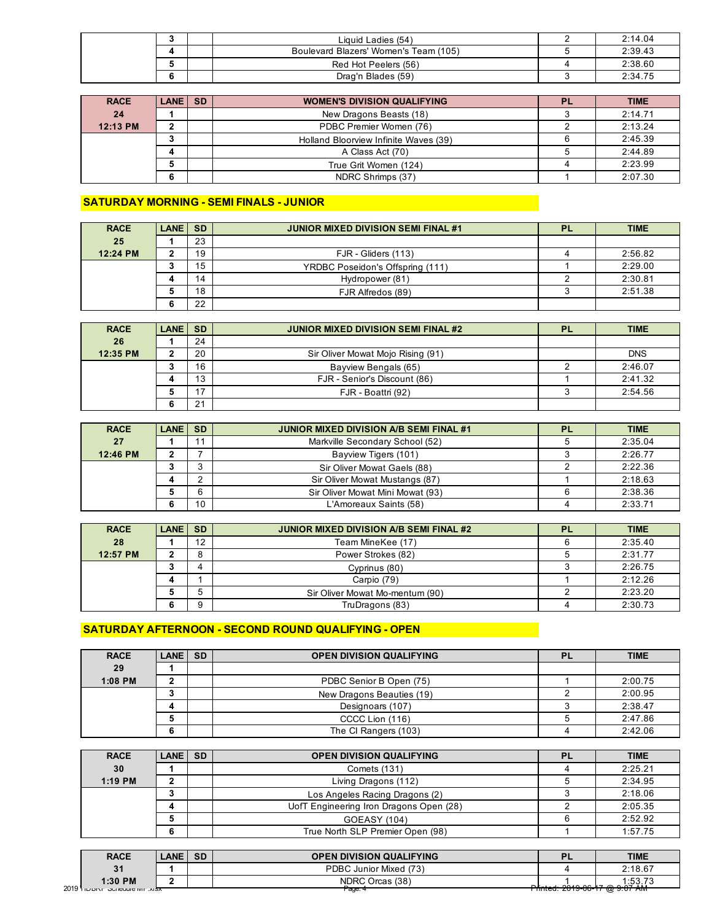|  | Liquid Ladies (54)                    | 2:14.04 |
|--|---------------------------------------|---------|
|  | Boulevard Blazers' Women's Team (105) | 2:39.43 |
|  | Red Hot Peelers (56)                  | 2:38.60 |
|  | Drag'n Blades (59)                    | 2:34.75 |

| <b>RACE</b> | LANE SD | <b>WOMEN'S DIVISION QUALIFYING</b>    | <b>PL</b> | <b>TIME</b> |
|-------------|---------|---------------------------------------|-----------|-------------|
| 24          |         | New Dragons Beasts (18)               |           | 2:14.71     |
| 12:13 PM    |         | PDBC Premier Women (76)               |           | 2:13.24     |
|             |         | Holland Bloorview Infinite Waves (39) |           | 2:45.39     |
|             |         | A Class Act (70)                      |           | 2:44.89     |
|             |         | True Grit Women (124)                 |           | 2:23.99     |
|             |         | NDRC Shrimps (37)                     |           | 2:07.30     |

### **SATURDAY MORNING - SEMI FINALS - JUNIOR**

| <b>RACE</b> | LANE SD |    | <b>JUNIOR MIXED DIVISION SEMI FINAL #1</b> | <b>PL</b> | <b>TIME</b> |
|-------------|---------|----|--------------------------------------------|-----------|-------------|
| 25          |         | 23 |                                            |           |             |
| 12:24 PM    |         | 19 | FJR - Gliders (113)                        |           | 2:56.82     |
|             |         | 15 | YRDBC Poseidon's Offspring (111)           |           | 2:29.00     |
|             |         | 14 | Hydropower (81)                            |           | 2:30.81     |
|             |         | 18 | FJR Alfredos (89)                          |           | 2:51.38     |
|             |         | 22 |                                            |           |             |

| <b>RACE</b> | LANE SD |    | <b>JUNIOR MIXED DIVISION SEMI FINAL #2</b> | PL | <b>TIME</b> |
|-------------|---------|----|--------------------------------------------|----|-------------|
| 26          |         | 24 |                                            |    |             |
| 12:35 PM    |         | 20 | Sir Oliver Mowat Mojo Rising (91)          |    | <b>DNS</b>  |
|             |         | 16 | Bayview Bengals (65)                       |    | 2:46.07     |
|             |         | 13 | FJR - Senior's Discount (86)               |    | 2:41.32     |
|             |         | ∍  | FJR - Boattri (92)                         |    | 2:54.56     |
|             |         | 21 |                                            |    |             |

| <b>RACE</b> | LANE SD |    | <b>JUNIOR MIXED DIVISION A/B SEMI FINAL #1</b> | <b>PL</b> | <b>TIME</b> |
|-------------|---------|----|------------------------------------------------|-----------|-------------|
| 27          |         | 11 | Markville Secondary School (52)                |           | 2:35.04     |
| 12:46 PM    |         |    | Bayview Tigers (101)                           |           | 2:26.77     |
|             |         |    | Sir Oliver Mowat Gaels (88)                    |           | 2:22.36     |
|             |         |    | Sir Oliver Mowat Mustangs (87)                 |           | 2:18.63     |
|             |         | А  | Sir Oliver Mowat Mini Mowat (93)               |           | 2:38.36     |
|             |         | 10 | L'Amoreaux Saints (58)                         |           | 2:33.71     |

| <b>RACE</b> | LANE SD |    | <b>JUNIOR MIXED DIVISION A/B SEMI FINAL #2</b> | <b>PL</b> | <b>TIME</b> |
|-------------|---------|----|------------------------------------------------|-----------|-------------|
| 28          |         | 12 | Team MineKee (17)                              |           | 2:35.40     |
| 12:57 PM    |         |    | Power Strokes (82)                             |           | 2:31.77     |
|             |         |    | Cyprinus (80)                                  |           | 2:26.75     |
|             |         |    | Carpio (79)                                    |           | 2:12.26     |
|             |         |    | Sir Oliver Mowat Mo-mentum (90)                |           | 2:23.20     |
|             |         |    | TruDragons (83)                                |           | 2:30.73     |

# **SATURDAY AFTERNOON - SECOND ROUND QUALIFYING - OPEN**

| <b>RACE</b> | LANE SD | <b>OPEN DIVISION QUALIFYING</b> | <b>PL</b> | <b>TIME</b> |
|-------------|---------|---------------------------------|-----------|-------------|
| 29          |         |                                 |           |             |
| 1:08 PM     |         | PDBC Senior B Open (75)         |           | 2:00.75     |
|             |         | New Dragons Beauties (19)       |           | 2:00.95     |
|             |         | Designoars (107)                |           | 2:38.47     |
|             |         | CCCC Lion (116)                 |           | 2:47.86     |
|             |         | The CI Rangers (103)            |           | 2:42.06     |

| <b>RACE</b> | LANE SD | <b>OPEN DIVISION QUALIFYING</b>         | <b>PL</b> | <b>TIME</b> |
|-------------|---------|-----------------------------------------|-----------|-------------|
| 30          |         | Comets (131)                            |           | 2:25.21     |
| $1:19$ PM   |         | Living Dragons (112)                    |           | 2:34.95     |
|             | w       | Los Angeles Racing Dragons (2)          |           | 2:18.06     |
|             | Д.      | UofT Engineering Iron Dragons Open (28) |           | 2:05.35     |
|             | G       | GOEASY (104)                            |           | 2:52.92     |
|             | 6       | True North SLP Premier Open (98)        |           | 1:57.75     |

| <b>RACE</b>                      | <b>ANE</b> | <b>SD</b> | <b>OPEN DIVISION QUALIFYING</b> |                                              | <b>TIME</b> |
|----------------------------------|------------|-----------|---------------------------------|----------------------------------------------|-------------|
| 31                               |            |           | PDBC Junior Mixed (73)          |                                              | 2:18.67     |
| 1:30 PM                          |            |           | NDRC Orcas (38)                 |                                              | 1.5272      |
| $2019$ TID DRE OUTCUTE IVIT AISK |            |           | <i>r</i> aqe.∙                  | <del>רווווכט. 2013-00-17 (עט ס. סווורז</del> |             |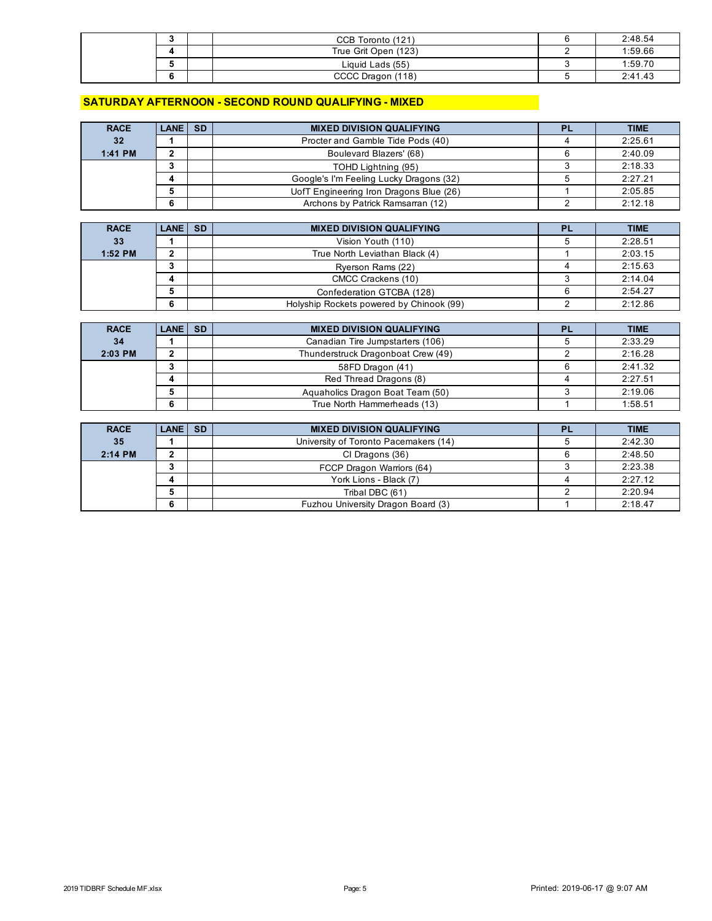|  | CCB Toronto (121)    | 2:48.54 |
|--|----------------------|---------|
|  | True Grit Open (123) | 1:59.66 |
|  | Liquid Lads (55)     | 1:59.70 |
|  | CCCC Dragon (118)    | 2:41.43 |

#### **SATURDAY AFTERNOON - SECOND ROUND QUALIFYING - MIXED**

| <b>RACE</b> | <b>LANE SD</b> | <b>MIXED DIVISION QUALIFYING</b>        | PL | <b>TIME</b> |
|-------------|----------------|-----------------------------------------|----|-------------|
| 32          |                | Procter and Gamble Tide Pods (40)       |    | 2:25.61     |
| 1:41 PM     |                | Boulevard Blazers' (68)                 |    | 2:40.09     |
|             |                | TOHD Lightning (95)                     |    | 2:18.33     |
|             |                | Google's I'm Feeling Lucky Dragons (32) |    | 2:27.21     |
|             |                | UofT Engineering Iron Dragons Blue (26) |    | 2:05.85     |
|             |                | Archons by Patrick Ramsarran (12)       |    | 2:12.18     |

| <b>RACE</b> | LANE SD | <b>MIXED DIVISION QUALIFYING</b>         | <b>PL</b> | <b>TIME</b> |
|-------------|---------|------------------------------------------|-----------|-------------|
| 33          |         | Vision Youth (110)                       |           | 2:28.51     |
| 1:52 PM     |         | True North Leviathan Black (4)           |           | 2:03.15     |
|             |         | Ryerson Rams (22)                        |           | 2:15.63     |
|             |         | CMCC Crackens (10)                       |           | 2:14.04     |
|             |         | Confederation GTCBA (128)                |           | 2:54.27     |
|             |         | Holyship Rockets powered by Chinook (99) |           | 2:12.86     |

| <b>RACE</b> | LANE SD | <b>MIXED DIVISION QUALIFYING</b>   | PL | <b>TIME</b> |
|-------------|---------|------------------------------------|----|-------------|
| 34          |         | Canadian Tire Jumpstarters (106)   |    | 2:33.29     |
| 2:03 PM     |         | Thunderstruck Dragonboat Crew (49) |    | 2:16.28     |
|             |         | 58FD Dragon (41)                   |    | 2:41.32     |
|             |         | Red Thread Dragons (8)             |    | 2:27.51     |
|             |         | Aquaholics Dragon Boat Team (50)   |    | 2:19.06     |
|             |         | True North Hammerheads (13)        |    | 1:58.51     |

| <b>RACE</b> | <b>LANE SD</b> | <b>MIXED DIVISION QUALIFYING</b>      | PL | <b>TIME</b> |
|-------------|----------------|---------------------------------------|----|-------------|
| 35          |                | University of Toronto Pacemakers (14) |    | 2:42.30     |
| 2:14 PM     |                | CI Dragons (36)                       |    | 2:48.50     |
|             |                | FCCP Dragon Warriors (64)             |    | 2:23.38     |
|             |                | York Lions - Black (7)                |    | 2:27.12     |
|             |                | Tribal DBC (61)                       |    | 2:20.94     |
|             |                | Fuzhou University Dragon Board (3)    |    | 2:18.47     |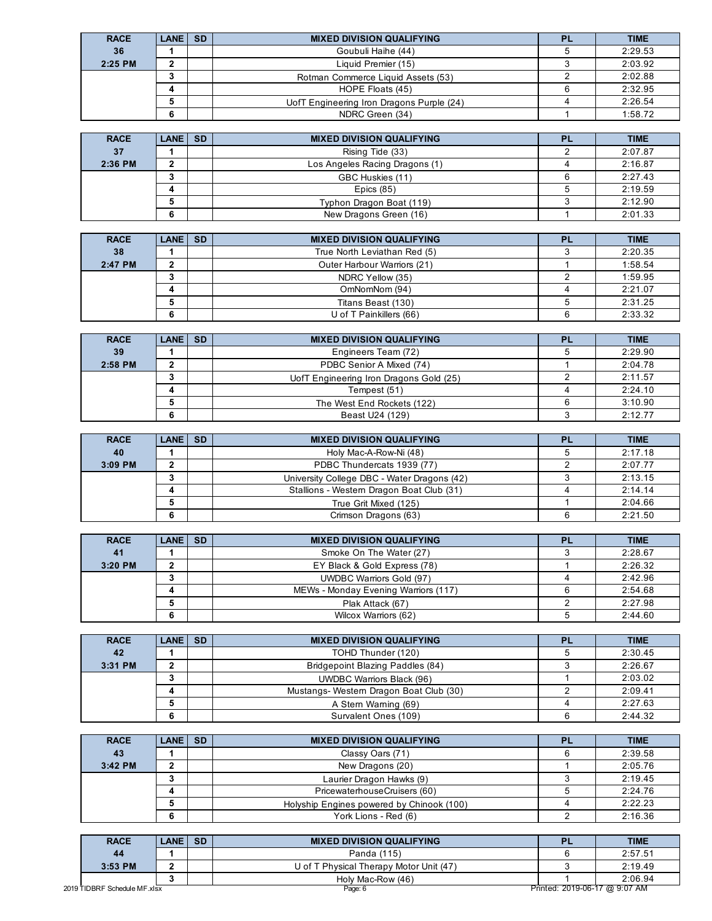| <b>RACE</b> | LANE SD | <b>MIXED DIVISION QUALIFYING</b>          | <b>PL</b> | <b>TIME</b> |
|-------------|---------|-------------------------------------------|-----------|-------------|
| 36          |         | Goubuli Haihe (44)                        |           | 2:29.53     |
| 2:25 PM     |         | Liquid Premier (15)                       |           | 2:03.92     |
|             |         | Rotman Commerce Liquid Assets (53)        |           | 2:02.88     |
|             |         | HOPE Floats (45)                          |           | 2:32.95     |
|             |         | UofT Engineering Iron Dragons Purple (24) |           | 2:26.54     |
|             |         | NDRC Green (34)                           |           | 1:58.72     |

| <b>RACE</b> | LANE SD | <b>MIXED DIVISION QUALIFYING</b> | PL | <b>TIME</b> |
|-------------|---------|----------------------------------|----|-------------|
| 37          |         | Rising Tide (33)                 |    | 2:07.87     |
| 2:36 PM     |         | Los Angeles Racing Dragons (1)   |    | 2:16.87     |
|             |         | GBC Huskies (11)                 |    | 2:27.43     |
|             |         | Epics $(85)$                     |    | 2:19.59     |
|             |         | Typhon Dragon Boat (119)         |    | 2:12.90     |
|             | 6       | New Dragons Green (16)           |    | 2:01.33     |

| <b>RACE</b> | LANE SD | <b>MIXED DIVISION QUALIFYING</b> | <b>PL</b> | <b>TIME</b> |
|-------------|---------|----------------------------------|-----------|-------------|
| 38          |         | True North Leviathan Red (5)     |           | 2:20.35     |
| 2:47 PM     |         | Outer Harbour Warriors (21)      |           | 1:58.54     |
|             |         | NDRC Yellow (35)                 |           | 1:59.95     |
|             |         | OmNomNom (94)                    |           | 2:21.07     |
|             |         | Titans Beast (130)               |           | 2:31.25     |
|             | 6       | U of T Painkillers (66)          |           | 2:33.32     |

| <b>RACE</b> | <b>LANE   SD</b> | <b>MIXED DIVISION QUALIFYING</b>        | <b>PL</b> | <b>TIME</b> |
|-------------|------------------|-----------------------------------------|-----------|-------------|
| 39          |                  | Engineers Team (72)                     |           | 2:29.90     |
| $2:58$ PM   |                  | PDBC Senior A Mixed (74)                |           | 2:04.78     |
|             |                  | UofT Engineering Iron Dragons Gold (25) |           | 2:11.57     |
|             |                  | Tempest (51)                            |           | 2:24.10     |
|             |                  | The West End Rockets (122)              |           | 3:10.90     |
|             |                  | Beast U24 (129)                         |           | 2:12.77     |

| <b>RACE</b> | LANE SD | <b>MIXED DIVISION QUALIFYING</b>            | <b>PL</b> | <b>TIME</b> |
|-------------|---------|---------------------------------------------|-----------|-------------|
| 40          |         | Holy Mac-A-Row-Ni (48)                      |           | 2:17.18     |
| $3:09$ PM   |         | PDBC Thundercats 1939 (77)                  |           | 2:07.77     |
|             |         | University College DBC - Water Dragons (42) |           | 2:13.15     |
|             |         | Stallions - Western Dragon Boat Club (31)   |           | 2:14.14     |
|             |         | True Grit Mixed (125)                       |           | 2:04.66     |
|             |         | Crimson Dragons (63)                        |           | 2:21.50     |

| <b>RACE</b> | <b>LANE SD</b> | <b>MIXED DIVISION QUALIFYING</b>     | <b>TIME</b> |
|-------------|----------------|--------------------------------------|-------------|
| 41          |                | Smoke On The Water (27)              | 2:28.67     |
| $3:20$ PM   |                | EY Black & Gold Express (78)         | 2:26.32     |
|             |                | UWDBC Warriors Gold (97)             | 2:42.96     |
|             |                | MEWs - Monday Evening Warriors (117) | 2:54.68     |
|             |                | Plak Attack (67)                     | 2:27.98     |
|             |                | Wilcox Warriors (62)                 | 2:44.60     |

| <b>RACE</b> | <b>LANE ISD</b> | <b>MIXED DIVISION QUALIFYING</b>       | <b>PL</b> | <b>TIME</b> |
|-------------|-----------------|----------------------------------------|-----------|-------------|
| 42          |                 | TOHD Thunder (120)                     |           | 2:30.45     |
| 3:31 PM     |                 | Bridgepoint Blazing Paddles (84)       |           | 2:26.67     |
|             |                 | <b>UWDBC Warriors Black (96)</b>       |           | 2:03.02     |
|             |                 | Mustangs-Western Dragon Boat Club (30) |           | 2:09.41     |
|             |                 | A Stern Warning (69)                   |           | 2:27.63     |
|             |                 | Survalent Ones (109)                   |           | 2:44.32     |

| <b>RACE</b> | LANE SD | <b>MIXED DIVISION QUALIFYING</b>          | <b>PL</b> | <b>TIME</b> |
|-------------|---------|-------------------------------------------|-----------|-------------|
| 43          |         | Classy Oars (71)                          |           | 2:39.58     |
| 3:42 PM     |         | New Dragons (20)                          |           | 2:05.76     |
|             |         | Laurier Dragon Hawks (9)                  |           | 2:19.45     |
|             |         | PricewaterhouseCruisers (60)              |           | 2:24.76     |
|             |         | Holyship Engines powered by Chinook (100) |           | 2:22.23     |
|             | 6       | York Lions - Red (6)                      |           | 2:16.36     |

| <b>RACE</b>                  | LANE I | <b>SD</b> | <b>MIXED DIVISION QUALIFYING</b>        |                               | <b>TIME</b> |
|------------------------------|--------|-----------|-----------------------------------------|-------------------------------|-------------|
| 44                           |        |           | Panda (115)                             |                               | 2:57.51     |
| $3:53$ PM                    |        |           | U of T Physical Therapy Motor Unit (47) |                               | 2:19.49     |
|                              |        |           | Holy Mac-Row (46)                       |                               | 2:06.94     |
| 2019 TIDBRF Schedule MF.xlsx |        |           | Page: 6                                 | Printed: 2019-06-17 @ 9:07 AM |             |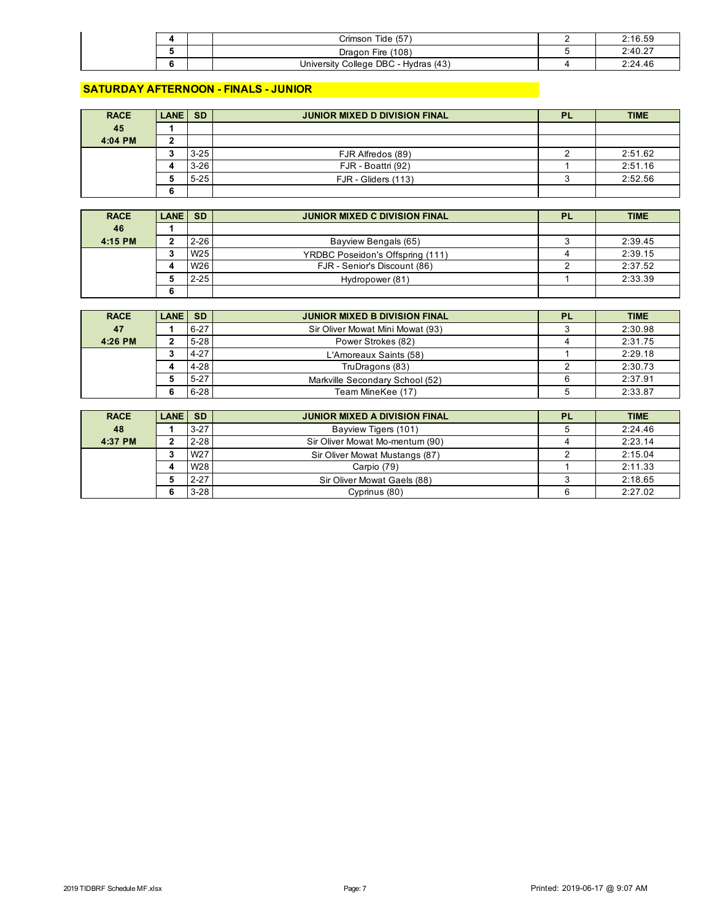|  | Tide (57<br>Crimson                  | 2:16.59 |
|--|--------------------------------------|---------|
|  | Dragon Fire (108)                    | 2:40.27 |
|  | University College DBC - Hydras (43) | 2:24.46 |

#### **SATURDAY AFTERNOON - FINALS - JUNIOR**

| <b>RACE</b> | LANE SD |          | <b>JUNIOR MIXED D DIVISION FINAL</b> | PL | <b>TIME</b> |
|-------------|---------|----------|--------------------------------------|----|-------------|
| 45          |         |          |                                      |    |             |
| 4:04 PM     |         |          |                                      |    |             |
|             |         | $3 - 25$ | FJR Alfredos (89)                    |    | 2:51.62     |
|             |         | $3 - 26$ | FJR - Boattri (92)                   |    | 2:51.16     |
|             |         | $5 - 25$ | FJR - Gliders (113)                  |    | 2:52.56     |
|             | n       |          |                                      |    |             |

| <b>RACE</b> | <b>LANE ISD</b> |                 | <b>JUNIOR MIXED C DIVISION FINAL</b> | <b>PL</b> | <b>TIME</b> |
|-------------|-----------------|-----------------|--------------------------------------|-----------|-------------|
| 46          |                 |                 |                                      |           |             |
| 4:15 PM     |                 | $2 - 26$        | Bayview Bengals (65)                 |           | 2:39.45     |
|             |                 | W <sub>25</sub> | YRDBC Poseidon's Offspring (111)     |           | 2:39.15     |
|             |                 | W <sub>26</sub> | FJR - Senior's Discount (86)         |           | 2:37.52     |
|             |                 | $2 - 25$        | Hydropower (81)                      |           | 2:33.39     |
|             |                 |                 |                                      |           |             |

| <b>RACE</b> | LANE SD |          | <b>JUNIOR MIXED B DIVISION FINAL</b> | <b>PL</b> | <b>TIME</b> |
|-------------|---------|----------|--------------------------------------|-----------|-------------|
| 47          |         | $6 - 27$ | Sir Oliver Mowat Mini Mowat (93)     |           | 2:30.98     |
| 4:26 PM     |         | $5 - 28$ | Power Strokes (82)                   |           | 2:31.75     |
|             |         | $4 - 27$ | L'Amoreaux Saints (58)               |           | 2:29.18     |
|             |         | $4 - 28$ | TruDragons (83)                      |           | 2:30.73     |
|             |         | $5 - 27$ | Markville Secondary School (52)      |           | 2:37.91     |
|             |         | $6 - 28$ | Team MineKee (17)                    |           | 2:33.87     |

| <b>RACE</b> | <b>LANE SD</b> |                 | <b>JUNIOR MIXED A DIVISION FINAL</b> | <b>PL</b> | <b>TIME</b> |
|-------------|----------------|-----------------|--------------------------------------|-----------|-------------|
| 48          |                | $3 - 27$        | Bayview Tigers (101)                 |           | 2:24.46     |
| 4:37 PM     |                | $2 - 28$        | Sir Oliver Mowat Mo-mentum (90)      |           | 2:23.14     |
|             |                | W <sub>27</sub> | Sir Oliver Mowat Mustangs (87)       |           | 2:15.04     |
|             |                | W <sub>28</sub> | Carpio (79)                          |           | 2:11.33     |
|             |                | $2 - 27$        | Sir Oliver Mowat Gaels (88)          |           | 2:18.65     |
|             |                | $3 - 28$        | Cyprinus (80)                        |           | 2:27.02     |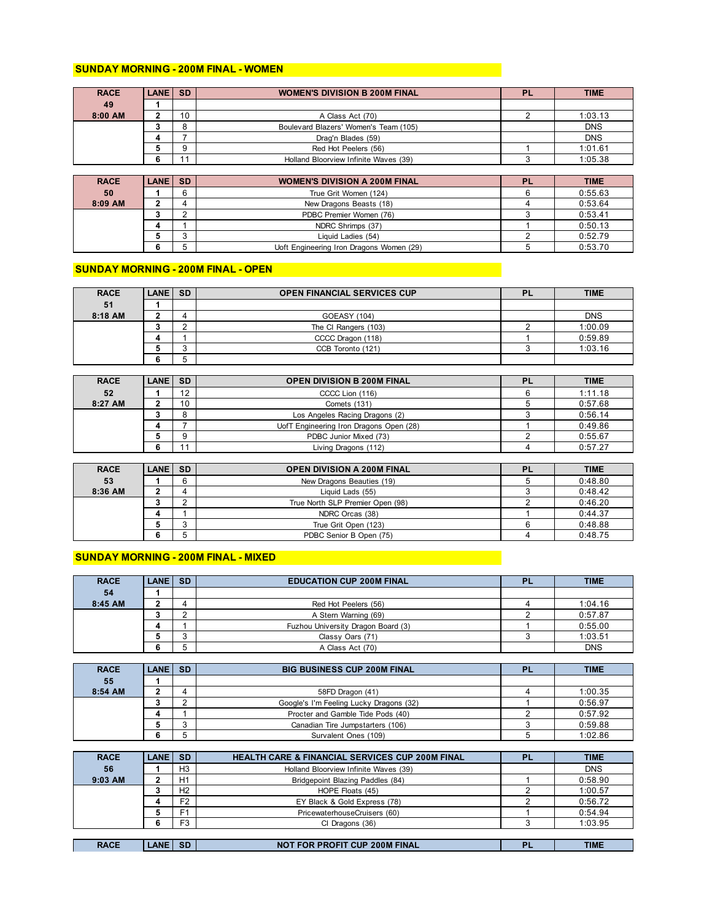#### **SUNDAY MORNING - 200M FINAL - WOMEN**

| <b>RACE</b> | <b>LANE SD</b> |    | <b>WOMEN'S DIVISION B 200M FINAL</b>  | PL | <b>TIME</b> |
|-------------|----------------|----|---------------------------------------|----|-------------|
| 49          |                |    |                                       |    |             |
| 8:00 AM     |                | 10 | A Class Act (70)                      |    | 1:03.13     |
|             |                |    | Boulevard Blazers' Women's Team (105) |    | <b>DNS</b>  |
|             |                |    | Drag'n Blades (59)                    |    | <b>DNS</b>  |
|             |                |    | Red Hot Peelers (56)                  |    | 1:01.61     |
|             |                |    | Holland Bloorview Infinite Waves (39) |    | 1:05.38     |

| <b>RACE</b> | LANE SD | <b>WOMEN'S DIVISION A 200M FINAL</b>     | <b>PL</b> | <b>TIME</b> |
|-------------|---------|------------------------------------------|-----------|-------------|
| 50          |         | True Grit Women (124)                    |           | 0:55.63     |
| 8:09 AM     |         | New Dragons Beasts (18)                  |           | 0:53.64     |
|             |         | PDBC Premier Women (76)                  |           | 0:53.41     |
|             |         | NDRC Shrimps (37)                        |           | 0:50.13     |
|             |         | Liquid Ladies (54)                       |           | 0:52.79     |
|             |         | Uoft Engineering Iron Dragons Women (29) |           | 0:53.70     |

#### **SUNDAY MORNING - 200M FINAL - OPEN**

| <b>RACE</b> | <b>LANE SD</b> |   | <b>OPEN FINANCIAL SERVICES CUP</b> | <b>PL</b> | <b>TIME</b> |
|-------------|----------------|---|------------------------------------|-----------|-------------|
| 51          |                |   |                                    |           |             |
| 8:18 AM     |                |   | GOEASY (104)                       |           | <b>DNS</b>  |
|             |                |   | The CI Rangers (103)               |           | 1:00.09     |
|             |                |   | CCCC Dragon (118)                  |           | 0:59.89     |
|             |                | ⌒ | CCB Toronto (121)                  |           | 1:03.16     |
|             |                | ∽ |                                    |           |             |

| <b>RACE</b> | LANE SD |    | <b>OPEN DIVISION B 200M FINAL</b>       | <b>PL</b> | <b>TIME</b> |
|-------------|---------|----|-----------------------------------------|-----------|-------------|
| 52          |         | 12 | CCCC Lion (116)                         |           | 1:11.18     |
| 8:27 AM     |         | 10 | Comets (131)                            |           | 0:57.68     |
|             |         |    | Los Angeles Racing Dragons (2)          |           | 0:56.14     |
|             |         |    | UofT Engineering Iron Dragons Open (28) |           | 0:49.86     |
|             |         |    | PDBC Junior Mixed (73)                  |           | 0:55.67     |
|             |         | 44 | Living Dragons (112)                    |           | 0:57.27     |

| <b>RACE</b> | <b>LANE SD</b> |   | <b>OPEN DIVISION A 200M FINAL</b> | PL | <b>TIME</b> |
|-------------|----------------|---|-----------------------------------|----|-------------|
| 53          |                | 6 | New Dragons Beauties (19)         |    | 0:48.80     |
| 8:36 AM     |                |   | Liquid Lads (55)                  |    | 0:48.42     |
|             |                |   | True North SLP Premier Open (98)  |    | 0:46.20     |
|             |                |   | NDRC Orcas (38)                   |    | 0:44.37     |
|             |                | J | True Grit Open (123)              |    | 0:48.88     |
|             |                |   | PDBC Senior B Open (75)           |    | 0:48.75     |

#### **SUNDAY MORNING - 200M FINAL - MIXED**

| <b>RACE</b> | LANE SD |             | <b>EDUCATION CUP 200M FINAL</b>    | PI | <b>TIME</b> |
|-------------|---------|-------------|------------------------------------|----|-------------|
| 54          |         |             |                                    |    |             |
| 8:45 AM     |         |             | Red Hot Peelers (56)               |    | 1:04.16     |
|             |         |             | A Stern Warning (69)               |    | 0:57.87     |
|             | д       |             | Fuzhou University Dragon Board (3) |    | 0:55.00     |
|             |         | $\sim$<br>ື | Classy Oars (71)                   |    | 1:03.51     |
|             |         |             | A Class Act (70)                   |    | <b>DNS</b>  |

| <b>RACE</b> | LANE SD | <b>BIG BUSINESS CUP 200M FINAL</b>      | ום | <b>TIME</b> |
|-------------|---------|-----------------------------------------|----|-------------|
| 55          |         |                                         |    |             |
| 8:54 AM     |         | 58FD Dragon (41)                        |    | 1:00.35     |
|             |         | Google's I'm Feeling Lucky Dragons (32) |    | 0:56.97     |
|             |         | Procter and Gamble Tide Pods (40)       |    | 0:57.92     |
|             |         | Canadian Tire Jumpstarters (106)        |    | 0:59.88     |
|             |         | Survalent Ones (109)                    |    | 1:02.86     |

| <b>RACE</b> | LANE   | <b>SD</b>      | <b>HEALTH CARE &amp; FINANCIAL SERVICES CUP 200M FINAL</b> | <b>PL</b> | <b>TIME</b> |
|-------------|--------|----------------|------------------------------------------------------------|-----------|-------------|
| 56          |        | H <sub>3</sub> | Holland Bloorview Infinite Waves (39)                      |           | <b>DNS</b>  |
| $9:03$ AM   |        | H1             | Bridgepoint Blazing Paddles (84)                           |           | 0:58.90     |
|             |        | H <sub>2</sub> | HOPE Floats (45)                                           |           | 1:00.57     |
|             |        | F <sub>2</sub> | EY Black & Gold Express (78)                               |           | 0:56.72     |
|             |        | F <sub>1</sub> | PricewaterhouseCruisers (60)                               |           | 0:54.94     |
|             |        | F <sub>3</sub> | CI Dragons (36)                                            |           | 1:03.95     |
|             |        |                |                                                            |           |             |
| <b>RACE</b> | .ANE I | <b>SD</b>      | <b>NOT FOR PROFIT CUP 200M FINAL</b>                       | PI        | <b>TIME</b> |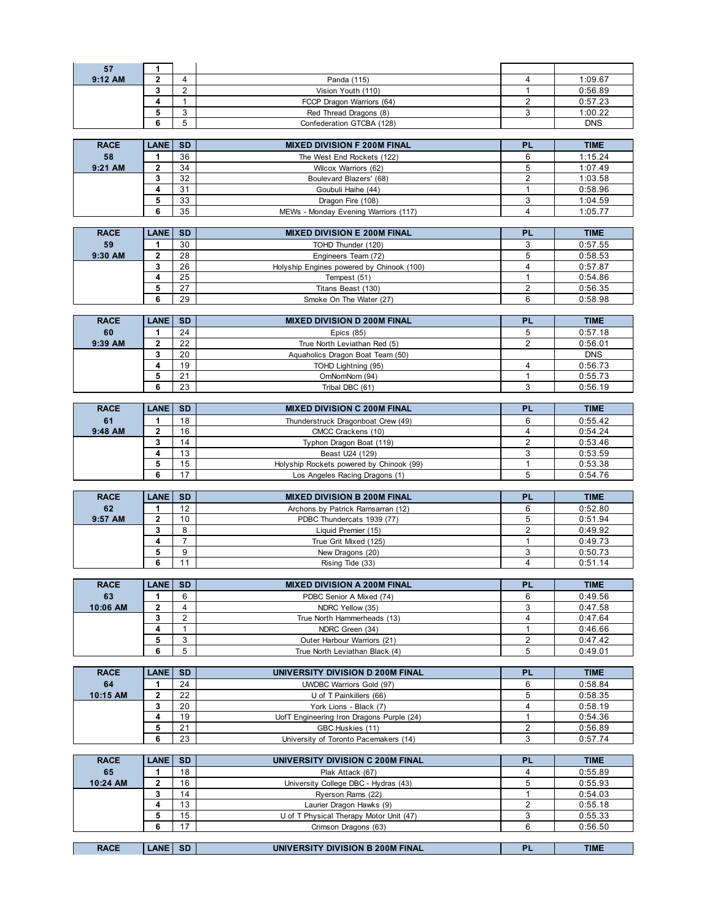| 57             | 1                 |                                |                                                          |                                |                    |
|----------------|-------------------|--------------------------------|----------------------------------------------------------|--------------------------------|--------------------|
| 9:12 AM        | $\mathbf 2$       | 4                              | Panda (115)                                              | $\overline{4}$                 | 1:09.67            |
|                | 3<br>4            | $\overline{2}$<br>$\mathbf{1}$ | Vision Youth (110)<br>FCCP Dragon Warriors (64)          | $\mathbf{1}$<br>$\overline{2}$ | 0:56.89            |
|                | 5                 | 3                              | Red Thread Dragons (8)                                   | 3                              | 0:57.23<br>1:00.22 |
|                | 6                 | 5                              | Confederation GTCBA (128)                                |                                | <b>DNS</b>         |
|                |                   |                                |                                                          |                                |                    |
| <b>RACE</b>    | <b>LANE</b>       | <b>SD</b>                      | <b>MIXED DIVISION F 200M FINAL</b>                       | PL                             | <b>TIME</b>        |
| 58             | 1                 | 36                             | The West End Rockets (122)                               | 6                              | 1:15.24            |
| 9:21 AM        | 2                 | 34                             | Wilcox Warriors (62)                                     | 5                              | 1:07.49            |
|                | 3                 | 32                             | Boulevard Blazers' (68)                                  | 2                              | 1:03.58            |
|                | 4<br>5            | 31<br>33                       | Goubuli Haihe (44)<br>Dragon Fire (108)                  | $\mathbf{1}$<br>3              | 0:58.96<br>1:04.59 |
|                | 6                 | 35                             | MEWs - Monday Evening Warriors (117)                     | $\overline{4}$                 | 1:05.77            |
|                |                   |                                |                                                          |                                |                    |
| <b>RACE</b>    | <b>LANE</b>       | <b>SD</b>                      | <b>MIXED DIVISION E 200M FINAL</b>                       | <b>PL</b>                      | <b>TIME</b>        |
| 59             | 1                 | 30                             | TOHD Thunder (120)                                       | 3                              | 0:57.55            |
| 9:30 AM        | $\mathbf 2$       | 28                             | Engineers Team (72)                                      | 5                              | 0:58.53            |
|                | 3                 | 26                             | Holyship Engines powered by Chinook (100)                | $\overline{4}$                 | 0:57.87            |
|                | 4                 | 25                             | Tempest (51)                                             | $\mathbf{1}$                   | 0:54.86            |
|                | 5<br>6            | 27<br>29                       | Titans Beast (130)<br>Smoke On The Water (27)            | 2<br>6                         | 0:56.35<br>0:58.98 |
|                |                   |                                |                                                          |                                |                    |
| <b>RACE</b>    | <b>LANE</b>       | <b>SD</b>                      | <b>MIXED DIVISION D 200M FINAL</b>                       | PL                             | <b>TIME</b>        |
| 60             | $\mathbf{1}$      | 24                             | Epics $(85)$                                             | 5                              | 0:57.18            |
| 9:39 AM        | $\overline{2}$    | 22                             | True North Leviathan Red (5)                             | $\overline{2}$                 | 0:56.01            |
|                | 3                 | 20                             | Aquaholics Dragon Boat Team (50)                         |                                | <b>DNS</b>         |
|                | 4                 | 19                             | TOHD Lightning (95)                                      | $\overline{4}$<br>$\mathbf{1}$ | 0:56.73            |
|                | 5<br>6            | 21<br>23                       | OmNomNom (94)<br>Tribal DBC (61)                         | 3                              | 0:55.73<br>0:56.19 |
|                |                   |                                |                                                          |                                |                    |
| <b>RACE</b>    | <b>LANE</b>       | <b>SD</b>                      | <b>MIXED DIVISION C 200M FINAL</b>                       | PL                             | <b>TIME</b>        |
| 61             | 1                 | 18                             | Thunderstruck Dragonboat Crew (49)                       | 6                              | 0:55.42            |
|                |                   |                                |                                                          |                                |                    |
| 9:48 AM        | 2                 | 16                             | CMCC Crackens (10)                                       | $\overline{4}$                 | 0:54.24            |
|                | 3                 | 14                             | Typhon Dragon Boat (119)                                 | 2                              | 0:53.46            |
|                | 4                 | 13                             | Beast U24 (129)                                          | 3                              | 0:53.59            |
|                | 5                 | 15                             | Holyship Rockets powered by Chinook (99)                 | $\mathbf{1}$                   | 0:53.38            |
|                | 6                 | 17                             | Los Angeles Racing Dragons (1)                           | 5                              | 0:54.76            |
| <b>RACE</b>    | <b>LANE</b>       | <b>SD</b>                      | <b>MIXED DIVISION B 200M FINAL</b>                       | <b>PL</b>                      | <b>TIME</b>        |
| 62             | 1                 | 12                             | Archons by Patrick Ramsarran (12)                        | 6                              | 0:52.80            |
| 9:57 AM        | 2                 | 10                             | PDBC Thundercats 1939 (77)                               | 5                              | 0:51.94            |
|                | 3                 | 8                              | Liquid Premier (15)                                      | $\overline{2}$                 | 0:49.92            |
|                | 4                 | $\overline{7}$                 | True Grit Mixed (125)                                    | $\mathbf{1}$                   | 0:49.73            |
|                | 5                 | 9                              | New Dragons (20)                                         | 3                              | 0:50.73            |
|                | 6                 | 11                             | Rising Tide (33)                                         | $\overline{4}$                 | 0:51.14            |
| <b>RACE</b>    | <b>LANE</b>       | <b>SD</b>                      | <b>MIXED DIVISION A 200M FINAL</b>                       | PL                             | <b>TIME</b>        |
| 63             | 1                 | 6                              | PDBC Senior A Mixed (74)                                 | 6                              | 0:49.56            |
| 10:06 AM       | 2                 | $\overline{4}$                 | NDRC Yellow (35)                                         | 3                              | 0:47.58            |
|                | 3                 | 2                              | True North Hammerheads (13)                              | $\overline{4}$                 | 0:47.64            |
|                | 4                 | $\mathbf{1}$                   | NDRC Green (34)                                          | $\mathbf{1}$                   | 0:46.66            |
|                | 5                 | 3                              | Outer Harbour Warriors (21)                              | 2                              | 0:47.42            |
|                | 6                 | 5                              | True North Leviathan Black (4)                           | 5                              | 0:49.01            |
| <b>RACE</b>    | <b>LANE</b>       | <b>SD</b>                      | UNIVERSITY DIVISION D 200M FINAL                         | PL                             | <b>TIME</b>        |
| 64             | 1                 | 24                             | <b>UWDBC Warriors Gold (97)</b>                          | 6                              | 0:58.84            |
| 10:15 AM       | 2                 | 22                             | U of T Painkillers (66)                                  | 5                              | 0:58.35            |
|                | 3                 | 20                             | York Lions - Black (7)                                   | $\overline{4}$                 | 0:58.19            |
|                | 4                 | 19                             | UofT Engineering Iron Dragons Purple (24)                | $\mathbf{1}$                   | 0:54.36            |
|                | 5<br>6            | 21<br>23                       | GBC Huskies (11)                                         | 2<br>3                         | 0:56.89<br>0:57.74 |
|                |                   |                                | University of Toronto Pacemakers (14)                    |                                |                    |
| <b>RACE</b>    | <b>LANE</b>       | <b>SD</b>                      | UNIVERSITY DIVISION C 200M FINAL                         | PL                             | <b>TIME</b>        |
| 65<br>10:24 AM | 1<br>$\mathbf{2}$ | 18<br>16                       | Plak Attack (67)<br>University College DBC - Hydras (43) | 4<br>5                         | 0:55.89<br>0:55.93 |

| <b>RACE</b> | <b>LANE SD</b> |    | UNIVERSITY DIVISION B 200M FINAL        | ÞІ | <b>TIME</b> |
|-------------|----------------|----|-----------------------------------------|----|-------------|
|             |                |    |                                         |    |             |
|             |                | 17 | Crimson Dragons (63)                    |    | 0:56.50     |
|             |                | 15 | U of T Physical Therapy Motor Unit (47) |    | 0:55.33     |
|             |                | 13 | Laurier Dragon Hawks (9)                |    | 0:55.18     |
|             |                | 14 | Ryerson Rams (22)                       |    | 0:54.03     |
| .           |                | .  |                                         |    | .           |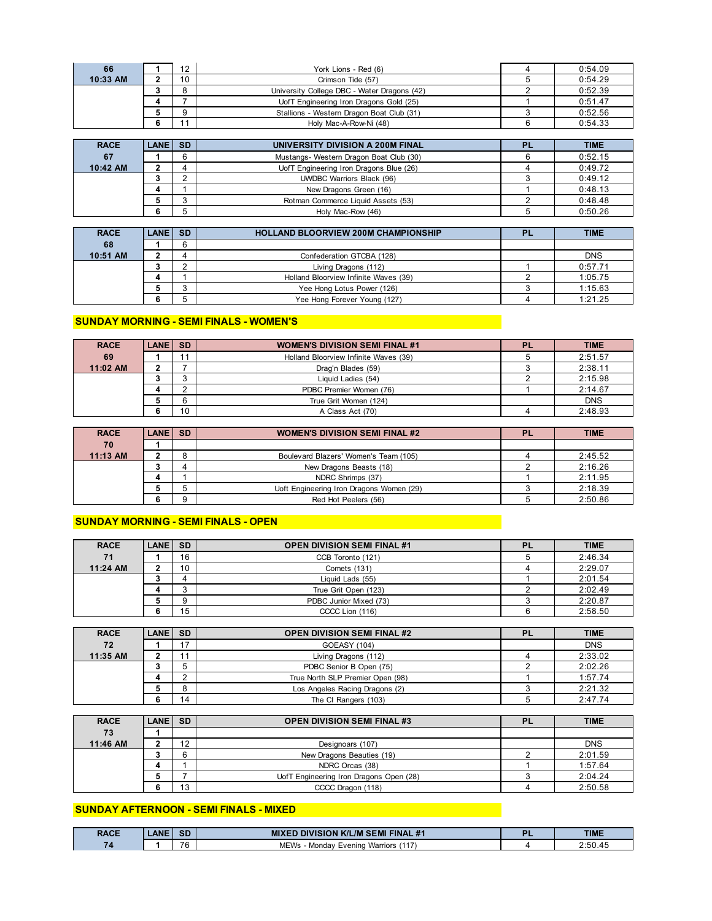| 66       | 12             | York Lions - Red (6)                        | 0:54.09 |
|----------|----------------|---------------------------------------------|---------|
| 10:33 AM | 10             | Crimson Tide (57)                           | 0:54.29 |
|          |                | University College DBC - Water Dragons (42) | 0:52.39 |
|          |                | UofT Engineering Iron Dragons Gold (25)     | 0:51.47 |
|          |                | Stallions - Western Dragon Boat Club (31)   | 0:52.56 |
|          | $\overline{A}$ | Holy Mac-A-Row-Ni (48)                      | 0:54.33 |

| <b>RACE</b> | LANE SD |   | UNIVERSITY DIVISION A 200M FINAL        | <b>PL</b> | <b>TIME</b> |
|-------------|---------|---|-----------------------------------------|-----------|-------------|
| 67          |         | 6 | Mustangs- Western Dragon Boat Club (30) |           | 0:52.15     |
| 10:42 AM    |         |   | UofT Engineering Iron Dragons Blue (26) |           | 0:49.72     |
|             |         |   | <b>UWDBC Warriors Black (96)</b>        |           | 0:49.12     |
|             |         |   | New Dragons Green (16)                  |           | 0:48.13     |
|             |         |   | Rotman Commerce Liquid Assets (53)      |           | 0:48.48     |
|             |         |   | Holy Mac-Row (46)                       |           | 0:50.26     |

| <b>RACE</b> | LANE SD | <b>HOLLAND BLOORVIEW 200M CHAMPIONSHIP</b> | PL | <b>TIME</b> |
|-------------|---------|--------------------------------------------|----|-------------|
| 68          |         |                                            |    |             |
| 10:51 AM    |         | Confederation GTCBA (128)                  |    | <b>DNS</b>  |
|             |         | Living Dragons (112)                       |    | 0:57.71     |
|             |         | Holland Bloorview Infinite Waves (39)      |    | 1:05.75     |
|             |         | Yee Hong Lotus Power (126)                 |    | 1:15.63     |
|             |         | Yee Hong Forever Young (127)               |    | 1:21.25     |

#### **SUNDAY MORNING - SEMI FINALS - WOMEN'S**

| <b>RACE</b> | LANE SD |    | <b>WOMEN'S DIVISION SEMI FINAL #1</b> | <b>PL</b> | <b>TIME</b> |
|-------------|---------|----|---------------------------------------|-----------|-------------|
| 69          |         | 11 | Holland Bloorview Infinite Waves (39) |           | 2:51.57     |
| 11:02 AM    |         |    | Drag'n Blades (59)                    |           | 2:38.11     |
|             |         |    | Liquid Ladies (54)                    |           | 2:15.98     |
|             |         |    | PDBC Premier Women (76)               |           | 2:14.67     |
|             |         |    | True Grit Women (124)                 |           | <b>DNS</b>  |
|             |         | 10 | A Class Act (70)                      |           | 2:48.93     |

| <b>RACE</b> | LANE SD | <b>WOMEN'S DIVISION SEMI FINAL #2</b>    | <b>TIME</b> |
|-------------|---------|------------------------------------------|-------------|
| 70          |         |                                          |             |
| 11:13 AM    |         | Boulevard Blazers' Women's Team (105)    | 2:45.52     |
|             |         | New Dragons Beasts (18)                  | 2:16.26     |
|             |         | NDRC Shrimps (37)                        | 2:11.95     |
|             |         | Uoft Engineering Iron Dragons Women (29) | 2:18.39     |
|             |         | Red Hot Peelers (56)                     | 2:50.86     |

#### **SUNDAY MORNING - SEMI FINALS - OPEN**

| <b>RACE</b> | <b>LANE SD</b> |        | <b>OPEN DIVISION SEMI FINAL #1</b> | <b>PL</b> | <b>TIME</b> |
|-------------|----------------|--------|------------------------------------|-----------|-------------|
| 71          |                | 16     | CCB Toronto (121)                  |           | 2:46.34     |
| 11:24 AM    |                | 10     | <b>Comets (131)</b>                |           | 2:29.07     |
|             |                |        | Liquid Lads (55)                   |           | 2:01.54     |
|             |                | $\sim$ | True Grit Open (123)               |           | 2:02.49     |
|             |                |        | PDBC Junior Mixed (73)             |           | 2:20.87     |
|             |                | 15     | CCCC Lion (116)                    |           | 2:58.50     |

| <b>RACE</b> | <b>LANE SD</b> |    | <b>OPEN DIVISION SEMI FINAL #2</b> | <b>TIME</b> |
|-------------|----------------|----|------------------------------------|-------------|
| 72          |                | 17 | GOEASY (104)                       | <b>DNS</b>  |
| 11:35 AM    |                | 11 | Living Dragons (112)               | 2:33.02     |
|             |                |    | PDBC Senior B Open (75)            | 2:02.26     |
|             |                |    | True North SLP Premier Open (98)   | 1:57.74     |
|             |                |    | Los Angeles Racing Dragons (2)     | 2:21.32     |
|             |                | 14 | The CI Rangers (103)               | 2:47.74     |

| <b>RACE</b> | LANE SD |         | <b>OPEN DIVISION SEMI FINAL #3</b>      | <b>PL</b> | <b>TIME</b> |
|-------------|---------|---------|-----------------------------------------|-----------|-------------|
| 73          |         |         |                                         |           |             |
| 11:46 AM    |         | 12<br>- | Designoars (107)                        |           | <b>DNS</b>  |
|             |         |         | New Dragons Beauties (19)               |           | 2:01.59     |
|             |         |         | NDRC Orcas (38)                         |           | 1:57.64     |
|             |         |         | UofT Engineering Iron Dragons Open (28) |           | 2:04.24     |
|             |         | 13      | CCCC Dragon (118)                       |           | 2:50.58     |

#### **SUNDAY AFTERNOON - SEMI FINALS - MIXED**

| <b>RACE</b> | <b>ANE</b> | <b>SD</b> | <b>MIXED DIVISION K/L/M SEMI FINAL #1</b> | <b>TIME</b> |
|-------------|------------|-----------|-------------------------------------------|-------------|
|             |            | 7C<br>' o | <b>MEWs</b><br>- Monday Evening Warriors  | 2:50.45     |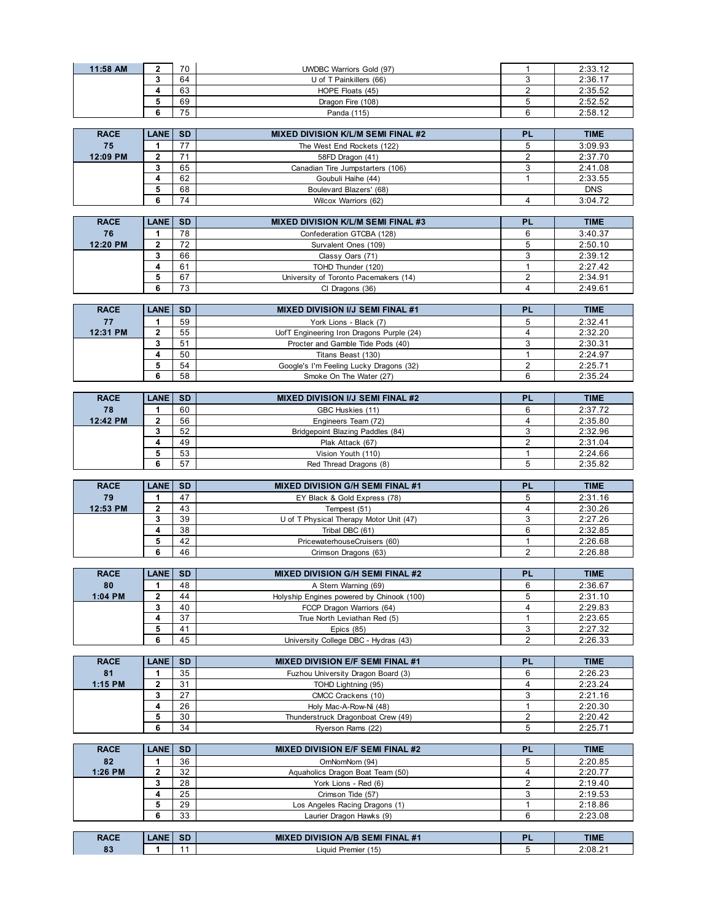| 11:58 AM | 70 | <b>UWDBC Warriors Gold (97)</b> | 2:33.12 |
|----------|----|---------------------------------|---------|
|          | 64 | U of T Painkillers (66)         | 2:36.17 |
|          | 63 | HOPE Floats (45)                | 2:35.52 |
|          | 69 | Dragon Fire (108)               | 2:52.52 |
|          | 75 | Panda (115)                     | 2:58.12 |

| <b>RACE</b> | <b>LANE SD</b> |    | <b>MIXED DIVISION K/L/M SEMI FINAL #2</b> | PL | <b>TIME</b> |
|-------------|----------------|----|-------------------------------------------|----|-------------|
| 75          |                |    | The West End Rockets (122)                |    | 3:09.93     |
| 12:09 PM    |                |    | 58FD Dragon (41)                          |    | 2:37.70     |
|             |                | 65 | Canadian Tire Jumpstarters (106)          |    | 2:41.08     |
|             |                | 62 | Goubuli Haihe (44)                        |    | 2:33.55     |
|             |                | 68 | Boulevard Blazers' (68)                   |    | <b>DNS</b>  |
|             |                | 74 | Wilcox Warriors (62)                      |    | 3:04.72     |

| <b>RACE</b> | <b>LANE SD</b> |    | <b>MIXED DIVISION K/L/M SEMI FINAL #3</b> | <b>PI</b> | <b>TIME</b> |
|-------------|----------------|----|-------------------------------------------|-----------|-------------|
| 76          |                | 78 | Confederation GTCBA (128)                 |           | 3:40.37     |
| 12:20 PM    |                | 72 | Survalent Ones (109)                      |           | 2:50.10     |
|             |                | 66 | Classy Oars (71)                          |           | 2:39.12     |
|             |                | 61 | TOHD Thunder (120)                        |           | 2:27.42     |
|             |                | 67 | University of Toronto Pacemakers (14)     |           | 2:34.91     |
|             |                | 73 | CI Dragons (36)                           |           | 2:49.61     |

| <b>RACE</b> | <b>LANE SD</b> |    | <b>MIXED DIVISION I/J SEMI FINAL #1</b>   | <b>TIME</b> |
|-------------|----------------|----|-------------------------------------------|-------------|
| 77          |                | 59 | York Lions - Black (7)                    | 2:32.41     |
| 12:31 PM    |                | 55 | UofT Engineering Iron Dragons Purple (24) | 2:32.20     |
|             |                | 51 | Procter and Gamble Tide Pods (40)         | 2:30.31     |
|             |                | 50 | Titans Beast (130)                        | 2:24.97     |
|             |                | 54 | Google's I'm Feeling Lucky Dragons (32)   | 2:25.71     |
|             |                | 58 | Smoke On The Water (27)                   | 2:35.24     |

| <b>RACE</b> | <b>LANE</b> | <b>SD</b> | <b>MIXED DIVISION I/J SEMI FINAL #2</b> | <b>PL</b> | <b>TIME</b> |
|-------------|-------------|-----------|-----------------------------------------|-----------|-------------|
| 78          |             | 60        | GBC Huskies (11)                        |           | 2:37.72     |
| 12:42 PM    |             | 56        | Engineers Team (72)                     |           | 2:35.80     |
|             |             | 52        | Bridgepoint Blazing Paddles (84)        |           | 2:32.96     |
|             |             | 49        | Plak Attack (67)                        |           | 2:31.04     |
|             |             | 53        | Vision Youth (110)                      |           | 2:24.66     |
|             |             | 57        | Red Thread Dragons (8)                  |           | 2:35.82     |

| <b>RACE</b> | LANE SD |    | <b>MIXED DIVISION G/H SEMI FINAL #1</b> | PI | <b>TIME</b> |
|-------------|---------|----|-----------------------------------------|----|-------------|
| 79          |         | 47 | EY Black & Gold Express (78)            |    | 2:31.16     |
| 12:53 PM    |         | 43 | Tempest (51)                            |    | 2:30.26     |
|             |         | 39 | U of T Physical Therapy Motor Unit (47) |    | 2:27.26     |
|             |         | 38 | Tribal DBC (61)                         |    | 2:32.85     |
|             |         | 42 | PricewaterhouseCruisers (60)            |    | 2:26.68     |
|             |         | 46 | Crimson Dragons (63)                    |    | 2:26.88     |

| <b>RACE</b> | <b>LANE SD</b> |    | <b>MIXED DIVISION G/H SEMI FINAL #2</b>   | ום | <b>TIME</b> |
|-------------|----------------|----|-------------------------------------------|----|-------------|
| 80          |                | 48 | A Stern Warning (69)                      |    | 2:36.67     |
| $1:04$ PM   |                | 44 | Holyship Engines powered by Chinook (100) |    | 2:31.10     |
|             |                | 40 | FCCP Dragon Warriors (64)                 |    | 2:29.83     |
|             |                | 37 | True North Leviathan Red (5)              |    | 2:23.65     |
|             |                | 41 | Epics $(85)$                              |    | 2:27.32     |
|             |                | 45 | University College DBC - Hydras (43)      |    | 2:26.33     |

| <b>RACE</b> | <b>LANE SD</b> |    | <b>MIXED DIVISION E/F SEMI FINAL #1</b> | PI | <b>TIME</b> |
|-------------|----------------|----|-----------------------------------------|----|-------------|
| 81          |                | 35 | Fuzhou University Dragon Board (3)      |    | 2:26.23     |
| $1:15$ PM   |                | 31 | TOHD Lightning (95)                     |    | 2:23.24     |
|             |                | 27 | CMCC Crackens (10)                      |    | 2:21.16     |
|             |                | 26 | Holy Mac-A-Row-Ni (48)                  |    | 2:20.30     |
|             |                | 30 | Thunderstruck Dragonboat Crew (49)      |    | 2:20.42     |
|             |                | 34 | Ryerson Rams (22)                       |    | 2:25.71     |

| <b>RACE</b> | <b>LANE SD</b> |    | <b>MIXED DIVISION E/F SEMI FINAL #2</b> | PI | <b>TIME</b> |
|-------------|----------------|----|-----------------------------------------|----|-------------|
| 82          |                | 36 | OmNomNom (94)                           |    | 2:20.85     |
| 1:26 PM     |                | 32 | Aquaholics Dragon Boat Team (50)        |    | 2:20.77     |
|             |                | 28 | York Lions - Red (6)                    |    | 2:19.40     |
|             |                | 25 | Crimson Tide (57)                       |    | 2:19.53     |
|             |                | 29 | Los Angeles Racing Dragons (1)          |    | 2:18.86     |
|             |                | 33 | Laurier Dragon Hawks (9)                |    | 2:23.08     |

| <b>RACE</b><br>. | <b>ANF</b> | <b>COL</b><br>וכ | $+1$<br>FINAI<br>$\Delta$ /F<br><b>SEMI</b><br>MÞ<br>SIUN<br>- 77 | <b>TIME</b>         |
|------------------|------------|------------------|-------------------------------------------------------------------|---------------------|
| n.<br>03         |            |                  | $\overline{\phantom{0}}$<br>Premier<br>Liquid '<br>'15)           | 2:08.2 <sup>4</sup> |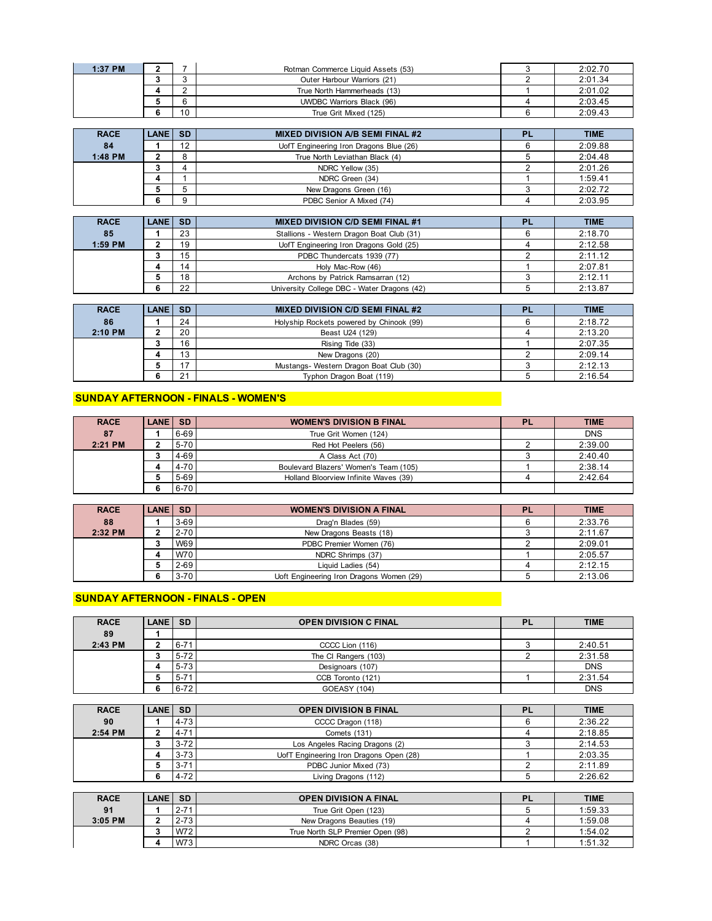| 1:37 PM |    | Rotman Commerce Liquid Assets (53) | 2:02.70 |
|---------|----|------------------------------------|---------|
|         |    | Outer Harbour Warriors (21)        | 2:01.34 |
|         |    | True North Hammerheads (13)        | 2:01.02 |
|         |    | <b>UWDBC Warriors Black (96)</b>   | 2:03.45 |
|         | 10 | True Grit Mixed (125)              | 2:09.43 |

| <b>RACE</b> | <b>LANE SD</b> |         | <b>MIXED DIVISION A/B SEMI FINAL #2</b> | <b>PL</b> | <b>TIME</b> |
|-------------|----------------|---------|-----------------------------------------|-----------|-------------|
| 84          |                | 12      | UofT Engineering Iron Dragons Blue (26) |           | 2:09.88     |
| 1:48 PM     |                | $\circ$ | True North Leviathan Black (4)          |           | 2:04.48     |
|             |                |         | NDRC Yellow (35)                        |           | 2:01.26     |
|             |                |         | NDRC Green (34)                         |           | 1:59.41     |
|             |                |         | New Dragons Green (16)                  |           | 2:02.72     |
|             |                |         | PDBC Senior A Mixed (74)                |           | 2:03.95     |

| <b>RACE</b> | LANE SD |    | <b>MIXED DIVISION C/D SEMI FINAL #1</b>     | <b>TIME</b> |
|-------------|---------|----|---------------------------------------------|-------------|
| 85          |         | 23 | Stallions - Western Dragon Boat Club (31)   | 2:18.70     |
| 1:59 PM     |         | 19 | UofT Engineering Iron Dragons Gold (25)     | 2:12.58     |
|             |         | 15 | PDBC Thundercats 1939 (77)                  | 2:11.12     |
|             |         | 14 | Holy Mac-Row (46)                           | 2:07.81     |
|             |         | 18 | Archons by Patrick Ramsarran (12)           | 2:12.11     |
|             |         | 22 | University College DBC - Water Dragons (42) | 2:13.87     |

| <b>RACE</b> | LANE SD |    | <b>MIXED DIVISION C/D SEMI FINAL #2</b>  | <b>PL</b> | <b>TIME</b> |
|-------------|---------|----|------------------------------------------|-----------|-------------|
| 86          |         | 24 | Holyship Rockets powered by Chinook (99) |           | 2:18.72     |
| 2:10 PM     |         | 20 | Beast U24 (129)                          |           | 2:13.20     |
|             |         | 16 | Rising Tide (33)                         |           | 2:07.35     |
|             |         | 13 | New Dragons (20)                         |           | 2:09.14     |
|             |         | 17 | Mustangs- Western Dragon Boat Club (30)  |           | 2:12.13     |
|             |         | 21 | Typhon Dragon Boat (119)                 |           | 2:16.54     |

### **SUNDAY AFTERNOON - FINALS - WOMEN'S**

| <b>RACE</b> | <b>LANE SD</b> |          | <b>WOMEN'S DIVISION B FINAL</b>       | <b>PL</b> | <b>TIME</b> |
|-------------|----------------|----------|---------------------------------------|-----------|-------------|
| 87          |                | 6-69     | True Grit Women (124)                 |           | <b>DNS</b>  |
| $2:21$ PM   |                | $5 - 70$ | Red Hot Peelers (56)                  |           | 2:39.00     |
|             |                | 4-69     | A Class Act (70)                      |           | 2:40.40     |
|             |                | $4 - 70$ | Boulevard Blazers' Women's Team (105) |           | 2:38.14     |
|             |                | 5-69     | Holland Bloorview Infinite Waves (39) |           | 2:42.64     |
|             |                | $6 - 70$ |                                       |           |             |

| <b>RACE</b> | LANE SD |          | <b>WOMEN'S DIVISION A FINAL</b>          | PL | <b>TIME</b> |
|-------------|---------|----------|------------------------------------------|----|-------------|
| 88          |         | $3 - 69$ | Drag'n Blades (59)                       |    | 2:33.76     |
| 2:32 PM     |         | 2-70     | New Dragons Beasts (18)                  |    | 2:11.67     |
|             |         | W69      | PDBC Premier Women (76)                  |    | 2:09.01     |
|             |         | W70      | NDRC Shrimps (37)                        |    | 2:05.57     |
|             |         | $2 - 69$ | Liquid Ladies (54)                       |    | 2:12.15     |
|             |         | $3 - 70$ | Uoft Engineering Iron Dragons Women (29) |    | 2:13.06     |

# **SUNDAY AFTERNOON - FINALS - OPEN**

| <b>RACE</b> | <b>LANE SD</b> |          | <b>OPEN DIVISION C FINAL</b> | PL | <b>TIME</b> |
|-------------|----------------|----------|------------------------------|----|-------------|
| 89          |                |          |                              |    |             |
| 2:43 PM     |                | $6 - 71$ | CCCC Lion (116)              |    | 2:40.51     |
|             |                | $5 - 72$ | The CI Rangers (103)         |    | 2:31.58     |
|             |                | $5 - 73$ | Designoars (107)             |    | <b>DNS</b>  |
|             |                | $5 - 71$ | CCB Toronto (121)            |    | 2:31.54     |
|             | n              | $6 - 72$ | <b>GOEASY (104)</b>          |    | <b>DNS</b>  |

| <b>RACE</b> | LANE SD |          | <b>OPEN DIVISION B FINAL</b>            | PL | <b>TIME</b> |
|-------------|---------|----------|-----------------------------------------|----|-------------|
| 90          |         | $4 - 73$ | CCCC Dragon (118)                       |    | 2:36.22     |
| 2:54 PM     |         | $4 - 71$ | Comets (131)                            |    | 2:18.85     |
|             |         | $3 - 72$ | Los Angeles Racing Dragons (2)          |    | 2:14.53     |
|             |         | $3 - 73$ | UofT Engineering Iron Dragons Open (28) |    | 2:03.35     |
|             |         | $3 - 71$ | PDBC Junior Mixed (73)                  |    | 2:11.89     |
|             |         | $4 - 72$ | Living Dragons (112)                    |    | 2:26.62     |

| <b>RACE</b> | LANE  SD |            | <b>OPEN DIVISION A FINAL</b>     | <b>PL</b> | <b>TIME</b> |
|-------------|----------|------------|----------------------------------|-----------|-------------|
| 91          |          | $2 - 71$   | True Grit Open (123)             |           | 1:59.33     |
| $3:05$ PM   |          | $2 - 73$   | New Dragons Beauties (19)        |           | 1:59.08     |
|             |          | W72        | True North SLP Premier Open (98) |           | 1:54.02     |
|             |          | <b>W73</b> | NDRC Orcas (38)                  |           | 1:51.32     |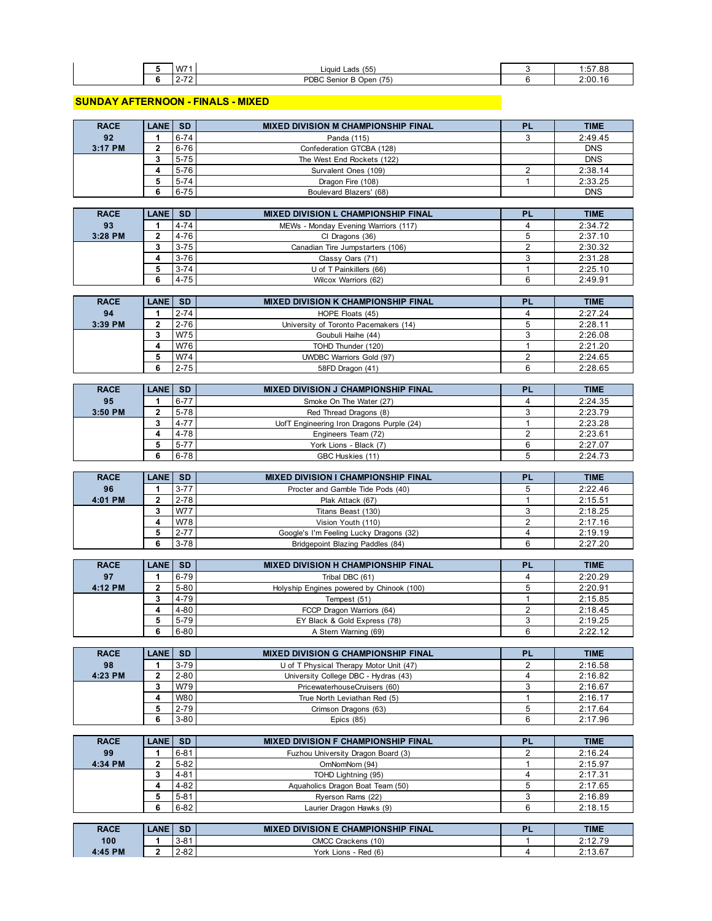|  | W71      | (55<br>Liquid Lads                     | .57.00<br>1:57.88 |
|--|----------|----------------------------------------|-------------------|
|  | . .<br>. | <b>PDBC</b><br>(75)<br>Senior B Open ( | 2:00.             |

#### **SUNDAY AFTERNOON - FINALS - MIXED**

| <b>RACE</b> | <b>LANE I</b>  | <b>SD</b> | <b>MIXED DIVISION M CHAMPIONSHIP FINAL</b> | <b>PL</b> | <b>TIME</b> |
|-------------|----------------|-----------|--------------------------------------------|-----------|-------------|
| 92          |                | $6 - 74$  | Panda (115)                                |           | 2:49.45     |
| 3:17 PM     |                | 6-76      | Confederation GTCBA (128)                  |           | <b>DNS</b>  |
|             | ,              | $5 - 75$  | The West End Rockets (122)                 |           | <b>DNS</b>  |
|             |                | $5 - 76$  | Survalent Ones (109)                       |           | 2:38.14     |
|             |                | $5 - 74$  | Dragon Fire (108)                          |           | 2:33.25     |
|             | 6              | $6 - 75$  | Boulevard Blazers' (68)                    |           | <b>DNS</b>  |
|             |                |           |                                            |           |             |
| <b>RACE</b> | <b>LANE SD</b> |           | <b>MIXED DIVISION L CHAMPIONSHIP FINAL</b> | PI        | <b>TIME</b> |

| .       | ------ |          |                                      | -- | ------  |
|---------|--------|----------|--------------------------------------|----|---------|
| 93      |        | $4 - 74$ | MEWs - Monday Evening Warriors (117) |    | 2:34.72 |
| 3:28 PM |        | $4 - 76$ | CI Dragons (36)                      |    | 2:37.10 |
|         |        | $3 - 75$ | Canadian Tire Jumpstarters (106)     |    | 2:30.32 |
|         |        | $3 - 76$ | Classy Oars (71)                     |    | 2:31.28 |
|         |        | $3 - 74$ | U of T Painkillers (66)              |    | 2:25.10 |
|         |        | $4 - 75$ | Wilcox Warriors (62)                 |    | 2:49.91 |

| <b>RACE</b> | LANE I | l SD     | <b>MIXED DIVISION K CHAMPIONSHIP FINAL</b> | <b>PL</b> | <b>TIME</b> |
|-------------|--------|----------|--------------------------------------------|-----------|-------------|
| 94          |        | $2 - 74$ | HOPE Floats (45)                           |           | 2:27.24     |
| 3:39 PM     |        | $2 - 76$ | University of Toronto Pacemakers (14)      |           | 2:28.11     |
|             |        | W75      | Goubuli Haihe (44)                         |           | 2:26.08     |
|             |        | W76      | TOHD Thunder (120)                         |           | 2:21.20     |
|             |        | W74      | <b>UWDBC Warriors Gold (97)</b>            |           | 2:24.65     |
|             |        | $2 - 75$ | 58FD Dragon (41)                           |           | 2:28.65     |

| <b>RACE</b> | <b>LANE SD</b> |          | <b>MIXED DIVISION J CHAMPIONSHIP FINAL</b> | <b>PL</b> | <b>TIME</b> |
|-------------|----------------|----------|--------------------------------------------|-----------|-------------|
| 95          |                | $6 - 77$ | Smoke On The Water (27)                    |           | 2:24.35     |
| $3:50$ PM   |                | $5-78$   | Red Thread Dragons (8)                     |           | 2:23.79     |
|             |                | $4 - 77$ | UofT Engineering Iron Dragons Purple (24)  |           | 2:23.28     |
|             |                | 4-78     | Engineers Team (72)                        |           | 2:23.61     |
|             |                | $5 - 77$ | York Lions - Black (7)                     |           | 2:27.07     |
|             |                | 6-78     | GBC Huskies (11)                           |           | 2:24.73     |

| <b>RACE</b> | <b>LANE SD</b> |            | <b>MIXED DIVISION I CHAMPIONSHIP FINAL</b> | <b>TIME</b> |
|-------------|----------------|------------|--------------------------------------------|-------------|
| 96          |                | $3 - 77$   | Procter and Gamble Tide Pods (40)          | 2:22.46     |
| 4:01 PM     |                | $2 - 78$   | Plak Attack (67)                           | 2:15.51     |
|             |                | <b>W77</b> | Titans Beast (130)                         | 2:18.25     |
|             |                | W78        | Vision Youth (110)                         | 2:17.16     |
|             |                | $2 - 77$   | Google's I'm Feeling Lucky Dragons (32)    | 2:19.19     |
|             |                | $3 - 78$   | Bridgepoint Blazing Paddles (84)           | 2:27.20     |

| <b>RACE</b> | LANE SD |          | <b>MIXED DIVISION H CHAMPIONSHIP FINAL</b> | <b>TIME</b> |
|-------------|---------|----------|--------------------------------------------|-------------|
| 97          |         | 6-79     | Tribal DBC (61)                            | 2:20.29     |
| 4:12 PM     |         | $5 - 80$ | Holyship Engines powered by Chinook (100)  | 2:20.91     |
|             |         | $4 - 79$ | Tempest (51)                               | 2:15.85     |
|             |         | $4 - 80$ | FCCP Dragon Warriors (64)                  | 2:18.45     |
|             |         | $5 - 79$ | EY Black & Gold Express (78)               | 2:19.25     |
|             | 6       | $6 - 80$ | A Stern Warning (69)                       | 2:22.12     |

| <b>RACE</b> | LANE SD |            | <b>MIXED DIVISION G CHAMPIONSHIP FINAL</b> | <b>PL</b> | <b>TIME</b> |
|-------------|---------|------------|--------------------------------------------|-----------|-------------|
| 98          |         | $3 - 79$   | U of T Physical Therapy Motor Unit (47)    |           | 2:16.58     |
| 4:23 PM     |         | $2 - 80$   | University College DBC - Hydras (43)       |           | 2:16.82     |
|             |         | W79        | PricewaterhouseCruisers (60)               |           | 2:16.67     |
|             |         | <b>W80</b> | True North Leviathan Red (5)               |           | 2:16.17     |
|             |         | $2 - 79$   | Crimson Dragons (63)                       |           | 2:17.64     |
|             |         | $3 - 80$   | Epics $(85)$                               |           | 2:17.96     |

| <b>RACE</b> | <b>LANE SD</b> |          | <b>MIXED DIVISION F CHAMPIONSHIP FINAL</b> | <b>PL</b> | <b>TIME</b> |
|-------------|----------------|----------|--------------------------------------------|-----------|-------------|
| 99          |                | $6 - 81$ | Fuzhou University Dragon Board (3)         |           | 2:16.24     |
| 4:34 PM     |                | $5 - 82$ | OmNomNom (94)                              |           | 2:15.97     |
|             |                | $4 - 81$ | TOHD Lightning (95)                        |           | 2:17.31     |
|             |                | $4 - 82$ | Aquaholics Dragon Boat Team (50)           |           | 2:17.65     |
|             |                | $5 - 81$ | Ryerson Rams (22)                          |           | 2:16.89     |
|             | 6              | $6 - 82$ | Laurier Dragon Hawks (9)                   |           | 2:18.15     |

| <b>RACE</b> | <b>LANE</b> | <b>SD</b>               | <b>DIVISION E CHAMPIONSHIP FINAL</b><br>MIXI | D | <b>TIME</b> |
|-------------|-------------|-------------------------|----------------------------------------------|---|-------------|
| 100         |             | 04<br>⊢ ت- ت            | (10)<br><b>CMCC Crackens</b>                 |   | 0.1070      |
| 4:45 PM     |             | ററ<br>2-02 <sup>-</sup> | Red(6)<br>York<br>.ions                      |   | 2:13.67     |